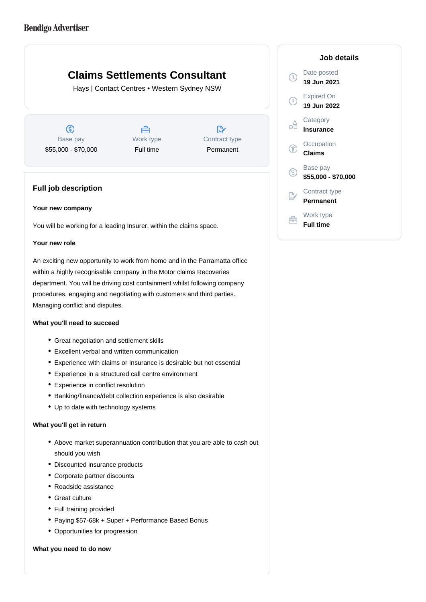# **Claims Settlements Consultant**

Hays | Contact Centres • Western Sydney NSW

 $\circledS$ Base pay \$55,000 - \$70,000

Å Work type Full time

 $\mathbb{R}^*$ Contract type Permanent

# **Full job description**

### **Your new company**

You will be working for a leading Insurer, within the claims space.

### **Your new role**

An exciting new opportunity to work from home and in the Parramatta office within a highly recognisable company in the Motor claims Recoveries department. You will be driving cost containment whilst following company procedures, engaging and negotiating with customers and third parties. Managing conflict and disputes.

## **What you'll need to succeed**

- Great negotiation and settlement skills
- Excellent verbal and written communication
- Experience with claims or Insurance is desirable but not essential
- Experience in a structured call centre environment
- Experience in conflict resolution
- Banking/finance/debt collection experience is also desirable
- Up to date with technology systems

#### **What you'll get in return**

- Above market superannuation contribution that you are able to cash out should you wish
- Discounted insurance products
- Corporate partner discounts
- Roadside assistance
- Great culture
- Full training provided
- Paying \$57-68k + Super + Performance Based Bonus
- Opportunities for progression

#### **What you need to do now**

|    | Date posted<br>19 Jun 2021       |
|----|----------------------------------|
|    | <b>Expired On</b><br>19 Jun 2022 |
|    | Category<br>Insurance            |
| Œ  | Occupation<br>Claims             |
| G) | Base pay<br>\$55,000 - \$70,000  |
|    | Contract type<br>Permanent       |
|    | Work type                        |

**Full time**

Ê

**Job details**